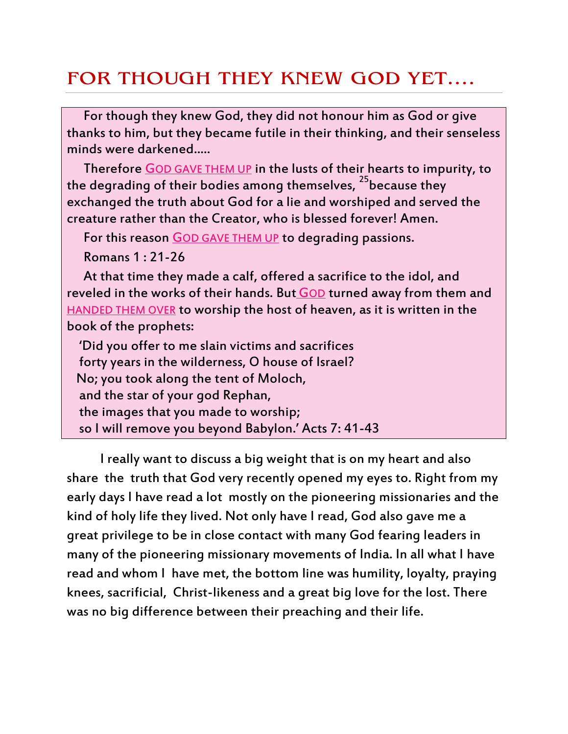## FOR THOUGH THEY KNEW GOD YET....

For though they knew God, they did not honour him as God or give thanks to him, but they became futile in their thinking, and their senseless minds were darkened.....

Therefore GOD GAVE THEM UP in the lusts of their hearts to impurity, to the degrading of their bodies among themselves, <sup>25</sup>because they exchanged the truth about God for a lie and worshiped and served the creature rather than the Creator, who is blessed forever! Amen.

For this reason GOD GAVE THEM UP to degrading passions.

Romans 1 : 21-26

At that time they made a calf, offered a sacrifice to the idol, and reveled in the works of their hands. But GOD turned away from them and HANDED THEM OVER to worship the host of heaven, as it is written in the book of the prophets:

 'Did you offer to me slain victims and sacrifices forty years in the wilderness, O house of Israel? No; you took along the tent of Moloch, and the star of your god Rephan, the images that you made to worship; so I will remove you beyond Babylon.' Acts 7: 41-43

I really want to discuss a big weight that is on my heart and also share the truth that God very recently opened my eyes to. Right from my early days I have read a lot mostly on the pioneering missionaries and the kind of holy life they lived. Not only have I read, God also gave me a great privilege to be in close contact with many God fearing leaders in many of the pioneering missionary movements of India. In all what I have read and whom I have met, the bottom line was humility, loyalty, praying knees, sacrificial, Christ-likeness and a great big love for the lost. There was no big difference between their preaching and their life.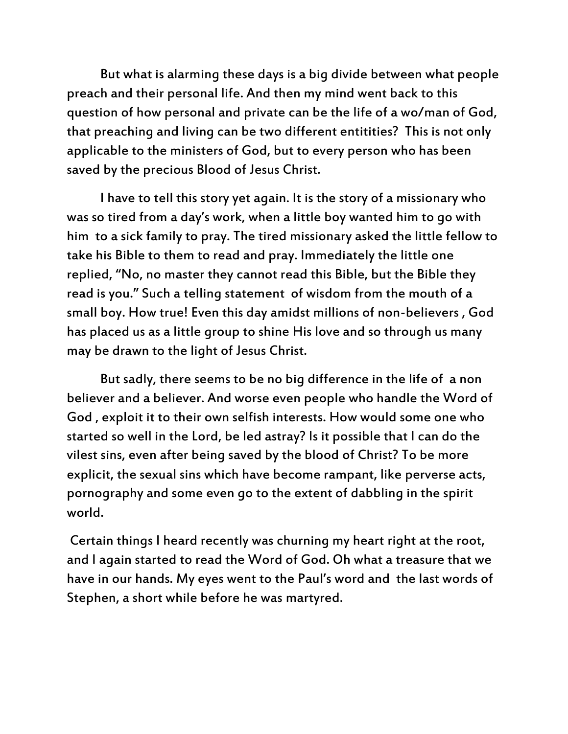But what is alarming these days is a big divide between what people preach and their personal life. And then my mind went back to this question of how personal and private can be the life of a wo/man of God, that preaching and living can be two different entitities? This is not only applicable to the ministers of God, but to every person who has been saved by the precious Blood of Jesus Christ.

I have to tell this story yet again. It is the story of a missionary who was so tired from a day's work, when a little boy wanted him to go with him to a sick family to pray. The tired missionary asked the little fellow to take his Bible to them to read and pray. Immediately the little one replied, 'No, no master they cannot read this Bible, but the Bible they read is you.' Such a telling statement of wisdom from the mouth of a small boy. How true! Even this day amidst millions of non-believers , God has placed us as a little group to shine His love and so through us many may be drawn to the light of Jesus Christ.

But sadly, there seems to be no big difference in the life of a non believer and a believer. And worse even people who handle the Word of God , exploit it to their own selfish interests. How would some one who started so well in the Lord, be led astray? Is it possible that I can do the vilest sins, even after being saved by the blood of Christ? To be more explicit, the sexual sins which have become rampant, like perverse acts, pornography and some even go to the extent of dabbling in the spirit world.

Certain things I heard recently was churning my heart right at the root, and I again started to read the Word of God. Oh what a treasure that we have in our hands. My eyes went to the Paul's word and the last words of Stephen, a short while before he was martyred.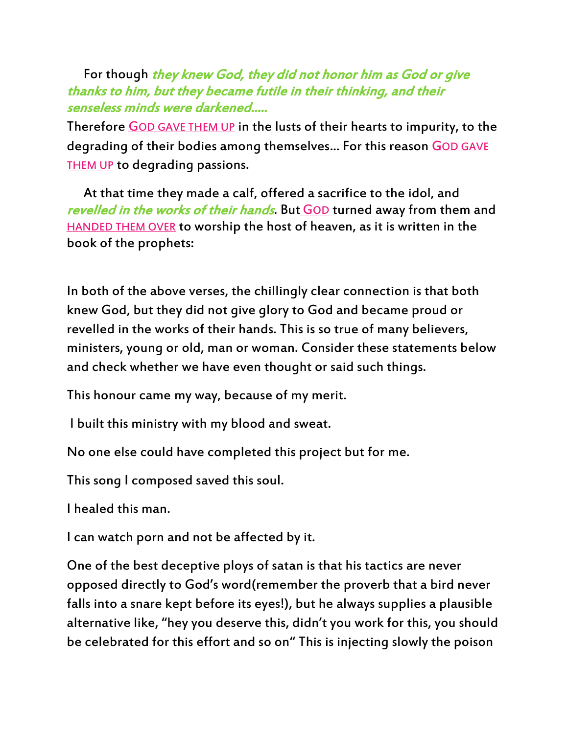For though they knew God, they did not honor him as God or give thanks to him, but they became futile in their thinking, and their senseless minds were darkened.....

Therefore GOD GAVE THEM UP in the lusts of their hearts to impurity, to the degrading of their bodies among themselves... For this reason GOD GAVE THEM UP to degrading passions.

At that time they made a calf, offered a sacrifice to the idol, and revelled in the works of their hands. But GOD turned away from them and HANDED THEM OVER to worship the host of heaven, as it is written in the book of the prophets:

In both of the above verses, the chillingly clear connection is that both knew God, but they did not give glory to God and became proud or revelled in the works of their hands. This is so true of many believers, ministers, young or old, man or woman. Consider these statements below and check whether we have even thought or said such things.

This honour came my way, because of my merit.

I built this ministry with my blood and sweat.

No one else could have completed this project but for me.

This song I composed saved this soul.

I healed this man.

I can watch porn and not be affected by it.

One of the best deceptive ploys of satan is that his tactics are never opposed directly to God's word(remember the proverb that a bird never falls into a snare kept before its eyes!), but he always supplies a plausible alternative like, 'hey you deserve this, didn't you work for this, you should be celebrated for this effort and so on' This is injecting slowly the poison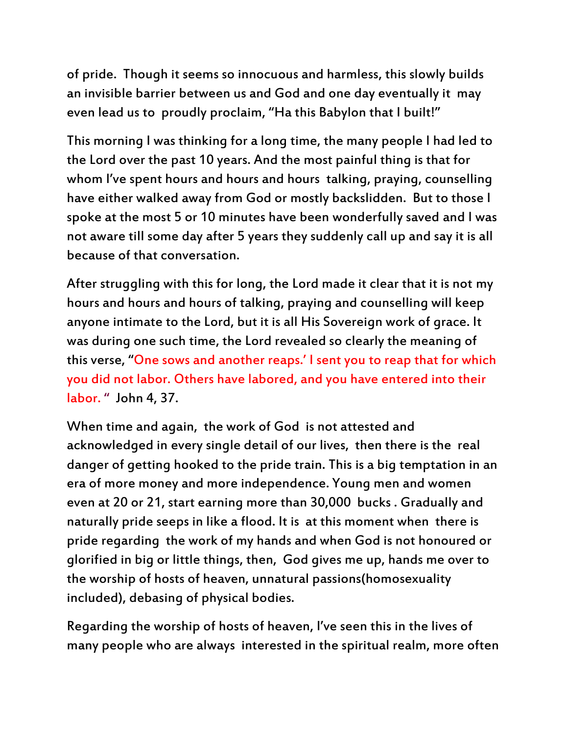of pride. Though it seems so innocuous and harmless, this slowly builds an invisible barrier between us and God and one day eventually it may even lead us to proudly proclaim, "Ha this Babylon that I built!"

This morning I was thinking for a long time, the many people I had led to the Lord over the past 10 years. And the most painful thing is that for whom I've spent hours and hours and hours talking, praying, counselling have either walked away from God or mostly backslidden. But to those I spoke at the most 5 or 10 minutes have been wonderfully saved and I was not aware till some day after 5 years they suddenly call up and say it is all because of that conversation.

After struggling with this for long, the Lord made it clear that it is not my hours and hours and hours of talking, praying and counselling will keep anyone intimate to the Lord, but it is all His Sovereign work of grace. It was during one such time, the Lord revealed so clearly the meaning of this verse, 'One sows and another reaps.' I sent you to reap that for which you did not labor. Others have labored, and you have entered into their labor. " John 4, 37.

When time and again, the work of God is not attested and acknowledged in every single detail of our lives, then there is the real danger of getting hooked to the pride train. This is a big temptation in an era of more money and more independence. Young men and women even at 20 or 21, start earning more than 30,000 bucks . Gradually and naturally pride seeps in like a flood. It is at this moment when there is pride regarding the work of my hands and when God is not honoured or glorified in big or little things, then, God gives me up, hands me over to the worship of hosts of heaven, unnatural passions(homosexuality included), debasing of physical bodies.

Regarding the worship of hosts of heaven, I've seen this in the lives of many people who are always interested in the spiritual realm, more often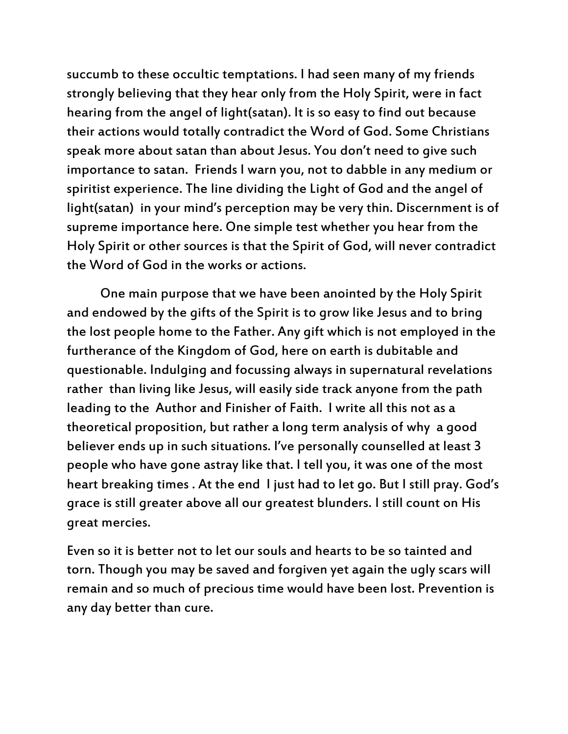succumb to these occultic temptations. I had seen many of my friends strongly believing that they hear only from the Holy Spirit, were in fact hearing from the angel of light(satan). It is so easy to find out because their actions would totally contradict the Word of God. Some Christians speak more about satan than about Jesus. You don't need to give such importance to satan. Friends I warn you, not to dabble in any medium or spiritist experience. The line dividing the Light of God and the angel of light(satan) in your mind's perception may be very thin. Discernment is of supreme importance here. One simple test whether you hear from the Holy Spirit or other sources is that the Spirit of God, will never contradict the Word of God in the works or actions.

One main purpose that we have been anointed by the Holy Spirit and endowed by the gifts of the Spirit is to grow like Jesus and to bring the lost people home to the Father. Any gift which is not employed in the furtherance of the Kingdom of God, here on earth is dubitable and questionable. Indulging and focussing always in supernatural revelations rather than living like Jesus, will easily side track anyone from the path leading to the Author and Finisher of Faith. I write all this not as a theoretical proposition, but rather a long term analysis of why a good believer ends up in such situations. I've personally counselled at least 3 people who have gone astray like that. I tell you, it was one of the most heart breaking times . At the end I just had to let go. But I still pray. God's grace is still greater above all our greatest blunders. I still count on His great mercies.

Even so it is better not to let our souls and hearts to be so tainted and torn. Though you may be saved and forgiven yet again the ugly scars will remain and so much of precious time would have been lost. Prevention is any day better than cure.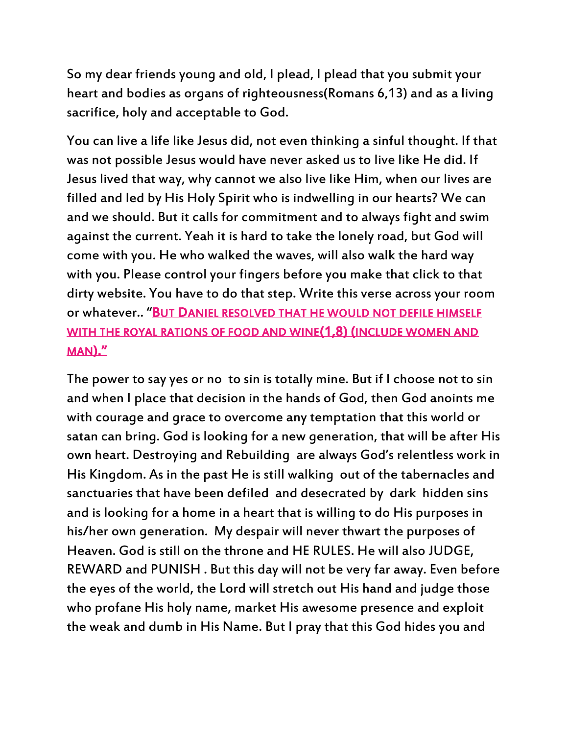So my dear friends young and old, I plead, I plead that you submit your heart and bodies as organs of righteousness(Romans 6,13) and as a living sacrifice, holy and acceptable to God.

You can live a life like Jesus did, not even thinking a sinful thought. If that was not possible Jesus would have never asked us to live like He did. If Jesus lived that way, why cannot we also live like Him, when our lives are filled and led by His Holy Spirit who is indwelling in our hearts? We can and we should. But it calls for commitment and to always fight and swim against the current. Yeah it is hard to take the lonely road, but God will come with you. He who walked the waves, will also walk the hard way with you. Please control your fingers before you make that click to that dirty website. You have to do that step. Write this verse across your room or whatever.. 'BUT DANIEL RESOLVED THAT HE WOULD NOT DEFILE HIMSELF WITH THE ROYAL RATIONS OF FOOD AND WINE(1,8) (INCLUDE WOMEN AND MAN).'

The power to say yes or no to sin is totally mine. But if I choose not to sin and when I place that decision in the hands of God, then God anoints me with courage and grace to overcome any temptation that this world or satan can bring. God is looking for a new generation, that will be after His own heart. Destroying and Rebuilding are always God's relentless work in His Kingdom. As in the past He is still walking out of the tabernacles and sanctuaries that have been defiled and desecrated by dark hidden sins and is looking for a home in a heart that is willing to do His purposes in his/her own generation. My despair will never thwart the purposes of Heaven. God is still on the throne and HE RULES. He will also JUDGE, REWARD and PUNISH . But this day will not be very far away. Even before the eyes of the world, the Lord will stretch out His hand and judge those who profane His holy name, market His awesome presence and exploit the weak and dumb in His Name. But I pray that this God hides you and